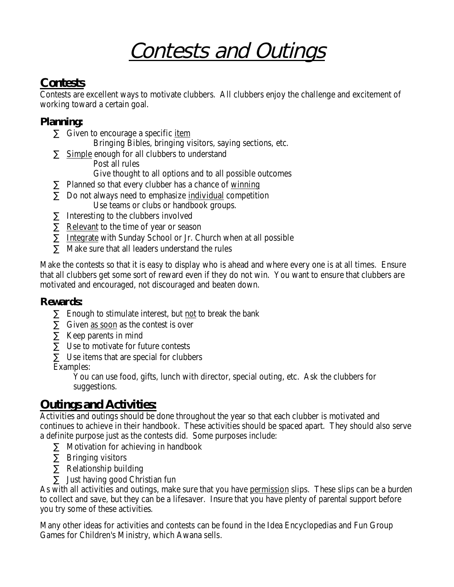# Contests and Outings

## **Contests**

Contests are excellent ways to motivate clubbers. All clubbers enjoy the challenge and excitement of working toward a certain goal.

### **Planning:**

- Given to encourage a specific item
	- Bringing Bibles, bringing visitors, saying sections, etc.
- Simple enough for all clubbers to understand Post all rules
	- Give thought to all options and to all possible outcomes
- · Planned so that every clubber has a chance of winning
- · Do not always need to emphasize individual competition Use teams or clubs or handbook groups.
	- Interesting to the clubbers involved
- Relevant to the time of year or season
- · Integrate with Sunday School or Jr. Church when at all possible
- Make sure that all leaders understand the rules

Make the contests so that it is easy to display who is ahead and where every one is at all times. Ensure that all clubbers get some sort of reward even if they do not win. You want to ensure that clubbers are motivated and encouraged, not discouraged and beaten down.

#### **Rewards:**

- Enough to stimulate interest, but not to break the bank
- · Given as soon as the contest is over
- Keep parents in mind
- Use to motivate for future contests
- Use items that are special for clubbers

Examples:

You can use food, gifts, lunch with director, special outing, etc. Ask the clubbers for suggestions.

## **Outings and Activities:**

Activities and outings should be done throughout the year so that each clubber is motivated and continues to achieve in their handbook. These activities should be spaced apart. They should also serve a definite purpose just as the contests did. Some purposes include:

- Motivation for achieving in handbook
- · Bringing visitors
- Relationship building
- Just having good Christian fun

As with all activities and outings, make sure that you have permission slips. These slips can be a burden to collect and save, but they can be a lifesaver. Insure that you have plenty of parental support before you try some of these activities.

Many other ideas for activities and contests can be found in the Idea Encyclopedias and Fun Group Games for Children's Ministry, which Awana sells.